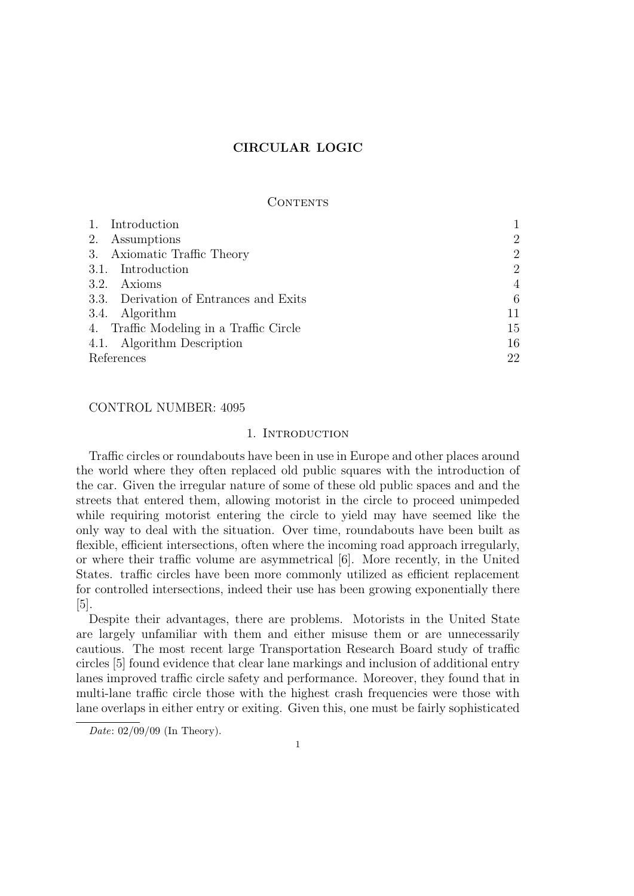## CONTENTS

| 1. Introduction                         |                |
|-----------------------------------------|----------------|
| 2. Assumptions                          | $\overline{2}$ |
| 3. Axiomatic Traffic Theory             | $\overline{2}$ |
| 3.1. Introduction                       | $\overline{2}$ |
| 3.2. Axioms                             | 4              |
| 3.3. Derivation of Entrances and Exits  | 6              |
| 3.4. Algorithm                          | 11             |
| 4. Traffic Modeling in a Traffic Circle | 15             |
| 4.1. Algorithm Description              | 16             |
| References                              | 22             |

# CONTROL NUMBER: 4095

## 1. INTRODUCTION

Traffic circles or roundabouts have been in use in Europe and other places around the world where they often replaced old public squares with the introduction of the car. Given the irregular nature of some of these old public spaces and and the streets that entered them, allowing motorist in the circle to proceed unimpeded while requiring motorist entering the circle to yield may have seemed like the only way to deal with the situation. Over time, roundabouts have been built as flexible, efficient intersections, often where the incoming road approach irregularly, or where their traffic volume are asymmetrical [6]. More recently, in the United States. traffic circles have been more commonly utilized as efficient replacement for controlled intersections, indeed their use has been growing exponentially there [5].

Despite their advantages, there are problems. Motorists in the United State are largely unfamiliar with them and either misuse them or are unnecessarily cautious. The most recent large Transportation Research Board study of traffic circles [5] found evidence that clear lane markings and inclusion of additional entry lanes improved traffic circle safety and performance. Moreover, they found that in multi-lane traffic circle those with the highest crash frequencies were those with lane overlaps in either entry or exiting. Given this, one must be fairly sophisticated

Date: 02/09/09 (In Theory).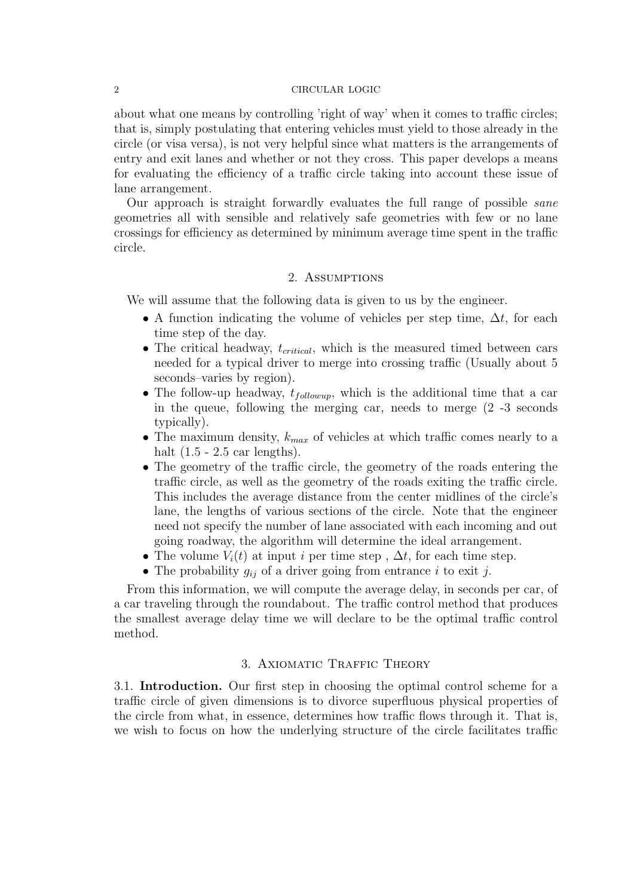about what one means by controlling 'right of way' when it comes to traffic circles; that is, simply postulating that entering vehicles must yield to those already in the circle (or visa versa), is not very helpful since what matters is the arrangements of entry and exit lanes and whether or not they cross. This paper develops a means for evaluating the efficiency of a traffic circle taking into account these issue of lane arrangement.

Our approach is straight forwardly evaluates the full range of possible sane geometries all with sensible and relatively safe geometries with few or no lane crossings for efficiency as determined by minimum average time spent in the traffic circle.

## 2. Assumptions

We will assume that the following data is given to us by the engineer.

- A function indicating the volume of vehicles per step time,  $\Delta t$ , for each time step of the day.
- The critical headway,  $t_{critical}$ , which is the measured timed between cars needed for a typical driver to merge into crossing traffic (Usually about 5 seconds–varies by region).
- The follow-up headway,  $t_{followup}$ , which is the additional time that a car in the queue, following the merging car, needs to merge (2 -3 seconds typically).
- The maximum density,  $k_{max}$  of vehicles at which traffic comes nearly to a halt  $(1.5 - 2.5 \text{ car lengths}).$
- The geometry of the traffic circle, the geometry of the roads entering the traffic circle, as well as the geometry of the roads exiting the traffic circle. This includes the average distance from the center midlines of the circle's lane, the lengths of various sections of the circle. Note that the engineer need not specify the number of lane associated with each incoming and out going roadway, the algorithm will determine the ideal arrangement.
- The volume  $V_i(t)$  at input i per time step,  $\Delta t$ , for each time step.
- The probability  $g_{ij}$  of a driver going from entrance i to exit j.

From this information, we will compute the average delay, in seconds per car, of a car traveling through the roundabout. The traffic control method that produces the smallest average delay time we will declare to be the optimal traffic control method.

# 3. Axiomatic Traffic Theory

3.1. Introduction. Our first step in choosing the optimal control scheme for a traffic circle of given dimensions is to divorce superfluous physical properties of the circle from what, in essence, determines how traffic flows through it. That is, we wish to focus on how the underlying structure of the circle facilitates traffic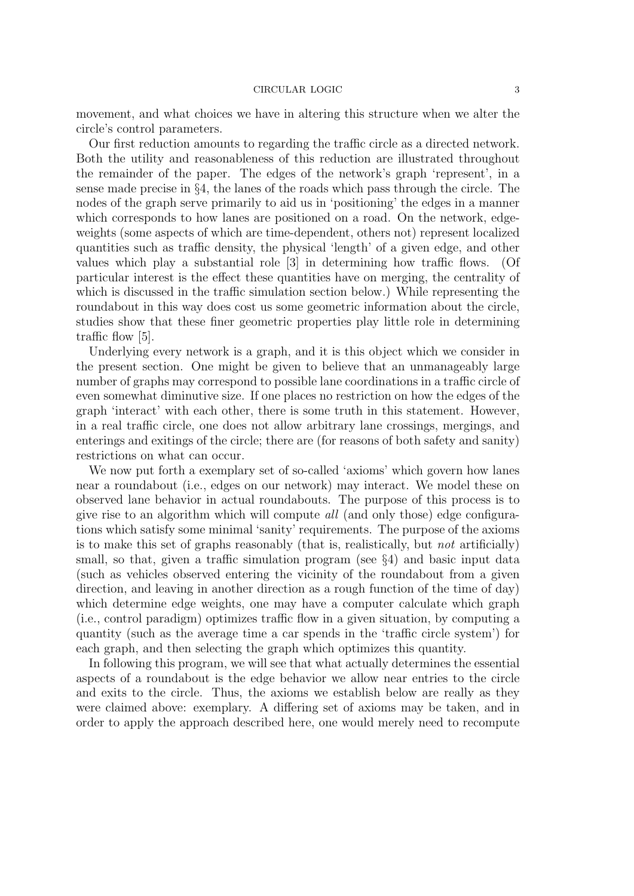movement, and what choices we have in altering this structure when we alter the circle's control parameters.

Our first reduction amounts to regarding the traffic circle as a directed network. Both the utility and reasonableness of this reduction are illustrated throughout the remainder of the paper. The edges of the network's graph 'represent', in a sense made precise in §4, the lanes of the roads which pass through the circle. The nodes of the graph serve primarily to aid us in 'positioning' the edges in a manner which corresponds to how lanes are positioned on a road. On the network, edgeweights (some aspects of which are time-dependent, others not) represent localized quantities such as traffic density, the physical 'length' of a given edge, and other values which play a substantial role [3] in determining how traffic flows. (Of particular interest is the effect these quantities have on merging, the centrality of which is discussed in the traffic simulation section below.) While representing the roundabout in this way does cost us some geometric information about the circle, studies show that these finer geometric properties play little role in determining traffic flow [5].

Underlying every network is a graph, and it is this object which we consider in the present section. One might be given to believe that an unmanageably large number of graphs may correspond to possible lane coordinations in a traffic circle of even somewhat diminutive size. If one places no restriction on how the edges of the graph 'interact' with each other, there is some truth in this statement. However, in a real traffic circle, one does not allow arbitrary lane crossings, mergings, and enterings and exitings of the circle; there are (for reasons of both safety and sanity) restrictions on what can occur.

We now put forth a exemplary set of so-called 'axioms' which govern how lanes near a roundabout (i.e., edges on our network) may interact. We model these on observed lane behavior in actual roundabouts. The purpose of this process is to give rise to an algorithm which will compute all (and only those) edge configurations which satisfy some minimal 'sanity' requirements. The purpose of the axioms is to make this set of graphs reasonably (that is, realistically, but not artificially) small, so that, given a traffic simulation program (see  $\S$ 4) and basic input data (such as vehicles observed entering the vicinity of the roundabout from a given direction, and leaving in another direction as a rough function of the time of day) which determine edge weights, one may have a computer calculate which graph (i.e., control paradigm) optimizes traffic flow in a given situation, by computing a quantity (such as the average time a car spends in the 'traffic circle system') for each graph, and then selecting the graph which optimizes this quantity.

In following this program, we will see that what actually determines the essential aspects of a roundabout is the edge behavior we allow near entries to the circle and exits to the circle. Thus, the axioms we establish below are really as they were claimed above: exemplary. A differing set of axioms may be taken, and in order to apply the approach described here, one would merely need to recompute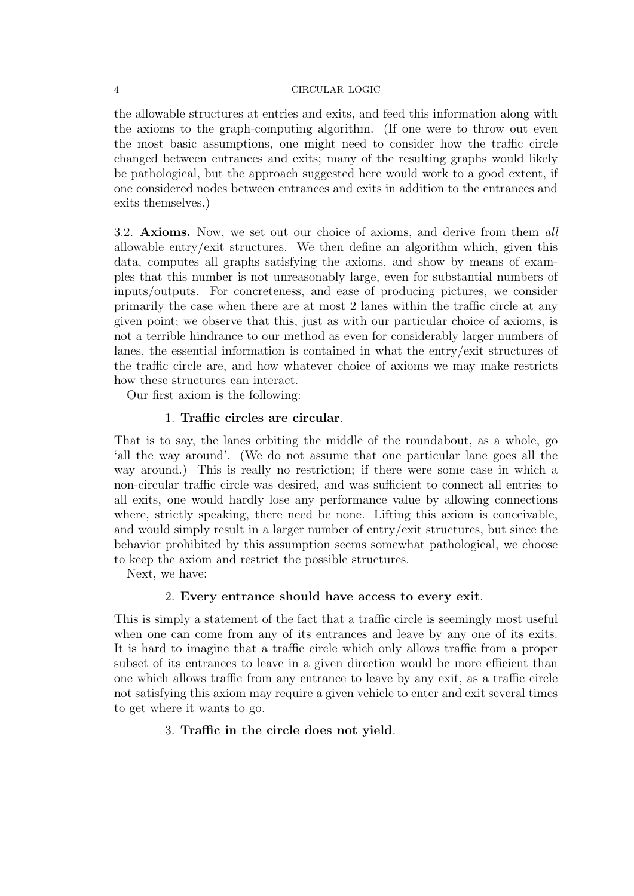the allowable structures at entries and exits, and feed this information along with the axioms to the graph-computing algorithm. (If one were to throw out even the most basic assumptions, one might need to consider how the traffic circle changed between entrances and exits; many of the resulting graphs would likely be pathological, but the approach suggested here would work to a good extent, if one considered nodes between entrances and exits in addition to the entrances and exits themselves.)

3.2. Axioms. Now, we set out our choice of axioms, and derive from them all allowable entry/exit structures. We then define an algorithm which, given this data, computes all graphs satisfying the axioms, and show by means of examples that this number is not unreasonably large, even for substantial numbers of inputs/outputs. For concreteness, and ease of producing pictures, we consider primarily the case when there are at most 2 lanes within the traffic circle at any given point; we observe that this, just as with our particular choice of axioms, is not a terrible hindrance to our method as even for considerably larger numbers of lanes, the essential information is contained in what the entry/exit structures of the traffic circle are, and how whatever choice of axioms we may make restricts how these structures can interact.

Our first axiom is the following:

# 1. Traffic circles are circular.

That is to say, the lanes orbiting the middle of the roundabout, as a whole, go 'all the way around'. (We do not assume that one particular lane goes all the way around.) This is really no restriction; if there were some case in which a non-circular traffic circle was desired, and was sufficient to connect all entries to all exits, one would hardly lose any performance value by allowing connections where, strictly speaking, there need be none. Lifting this axiom is conceivable, and would simply result in a larger number of entry/exit structures, but since the behavior prohibited by this assumption seems somewhat pathological, we choose to keep the axiom and restrict the possible structures.

Next, we have:

# 2. Every entrance should have access to every exit.

This is simply a statement of the fact that a traffic circle is seemingly most useful when one can come from any of its entrances and leave by any one of its exits. It is hard to imagine that a traffic circle which only allows traffic from a proper subset of its entrances to leave in a given direction would be more efficient than one which allows traffic from any entrance to leave by any exit, as a traffic circle not satisfying this axiom may require a given vehicle to enter and exit several times to get where it wants to go.

# 3. Traffic in the circle does not yield.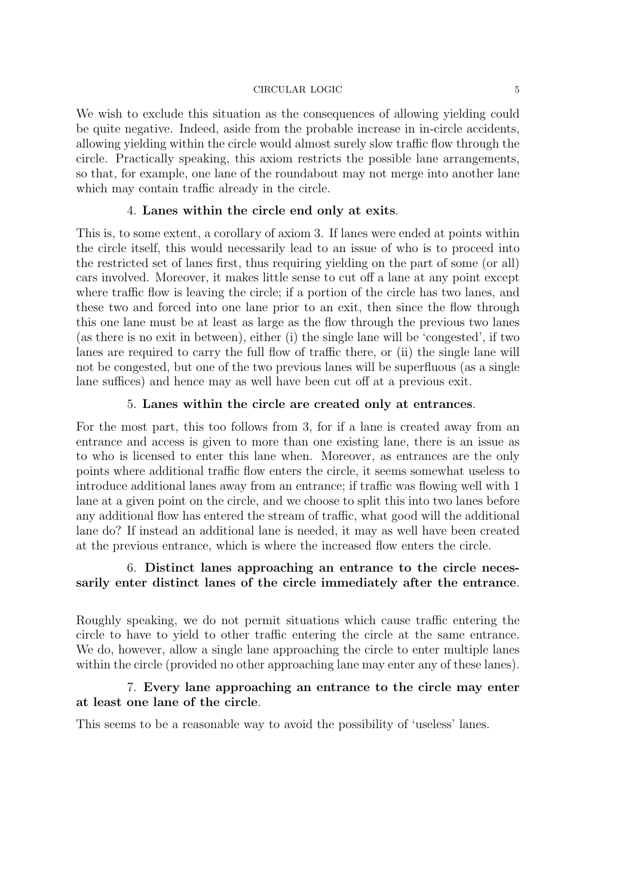We wish to exclude this situation as the consequences of allowing yielding could be quite negative. Indeed, aside from the probable increase in in-circle accidents, allowing yielding within the circle would almost surely slow traffic flow through the circle. Practically speaking, this axiom restricts the possible lane arrangements, so that, for example, one lane of the roundabout may not merge into another lane which may contain traffic already in the circle.

## 4. Lanes within the circle end only at exits.

This is, to some extent, a corollary of axiom 3. If lanes were ended at points within the circle itself, this would necessarily lead to an issue of who is to proceed into the restricted set of lanes first, thus requiring yielding on the part of some (or all) cars involved. Moreover, it makes little sense to cut off a lane at any point except where traffic flow is leaving the circle; if a portion of the circle has two lanes, and these two and forced into one lane prior to an exit, then since the flow through this one lane must be at least as large as the flow through the previous two lanes (as there is no exit in between), either (i) the single lane will be 'congested', if two lanes are required to carry the full flow of traffic there, or (ii) the single lane will not be congested, but one of the two previous lanes will be superfluous (as a single lane suffices) and hence may as well have been cut off at a previous exit.

## 5. Lanes within the circle are created only at entrances.

For the most part, this too follows from 3, for if a lane is created away from an entrance and access is given to more than one existing lane, there is an issue as to who is licensed to enter this lane when. Moreover, as entrances are the only points where additional traffic flow enters the circle, it seems somewhat useless to introduce additional lanes away from an entrance; if traffic was flowing well with 1 lane at a given point on the circle, and we choose to split this into two lanes before any additional flow has entered the stream of traffic, what good will the additional lane do? If instead an additional lane is needed, it may as well have been created at the previous entrance, which is where the increased flow enters the circle.

# 6. Distinct lanes approaching an entrance to the circle necessarily enter distinct lanes of the circle immediately after the entrance.

Roughly speaking, we do not permit situations which cause traffic entering the circle to have to yield to other traffic entering the circle at the same entrance. We do, however, allow a single lane approaching the circle to enter multiple lanes within the circle (provided no other approaching lane may enter any of these lanes).

# 7. Every lane approaching an entrance to the circle may enter at least one lane of the circle.

This seems to be a reasonable way to avoid the possibility of 'useless' lanes.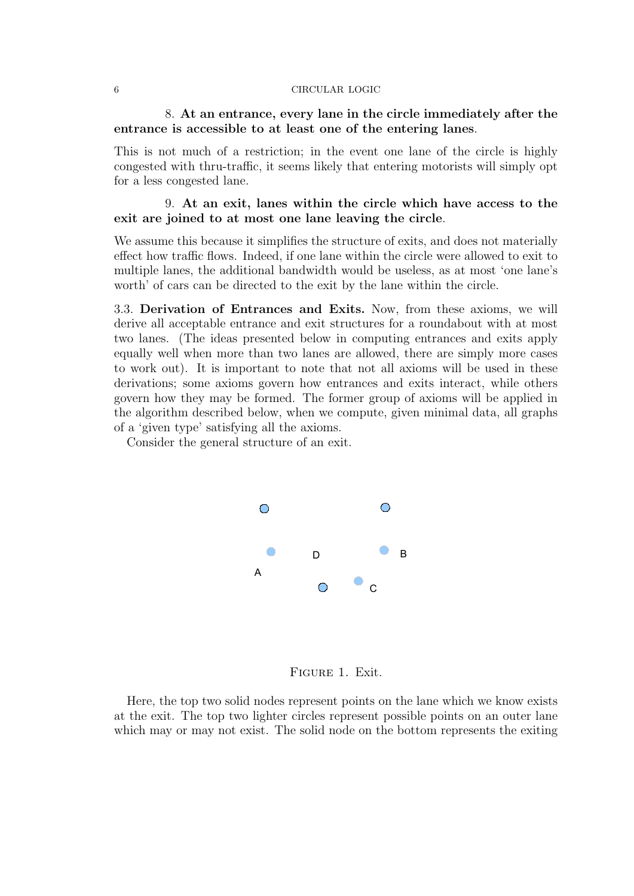# 8. At an entrance, every lane in the circle immediately after the entrance is accessible to at least one of the entering lanes.

This is not much of a restriction; in the event one lane of the circle is highly congested with thru-traffic, it seems likely that entering motorists will simply opt for a less congested lane.

# 9. At an exit, lanes within the circle which have access to the exit are joined to at most one lane leaving the circle.

We assume this because it simplifies the structure of exits, and does not materially effect how traffic flows. Indeed, if one lane within the circle were allowed to exit to multiple lanes, the additional bandwidth would be useless, as at most 'one lane's worth' of cars can be directed to the exit by the lane within the circle.

3.3. Derivation of Entrances and Exits. Now, from these axioms, we will derive all acceptable entrance and exit structures for a roundabout with at most two lanes. (The ideas presented below in computing entrances and exits apply equally well when more than two lanes are allowed, there are simply more cases to work out). It is important to note that not all axioms will be used in these derivations; some axioms govern how entrances and exits interact, while others govern how they may be formed. The former group of axioms will be applied in the algorithm described below, when we compute, given minimal data, all graphs of a 'given type' satisfying all the axioms.

Consider the general structure of an exit.



Figure 1. Exit.

Here, the top two solid nodes represent points on the lane which we know exists at the exit. The top two lighter circles represent possible points on an outer lane which may or may not exist. The solid node on the bottom represents the exiting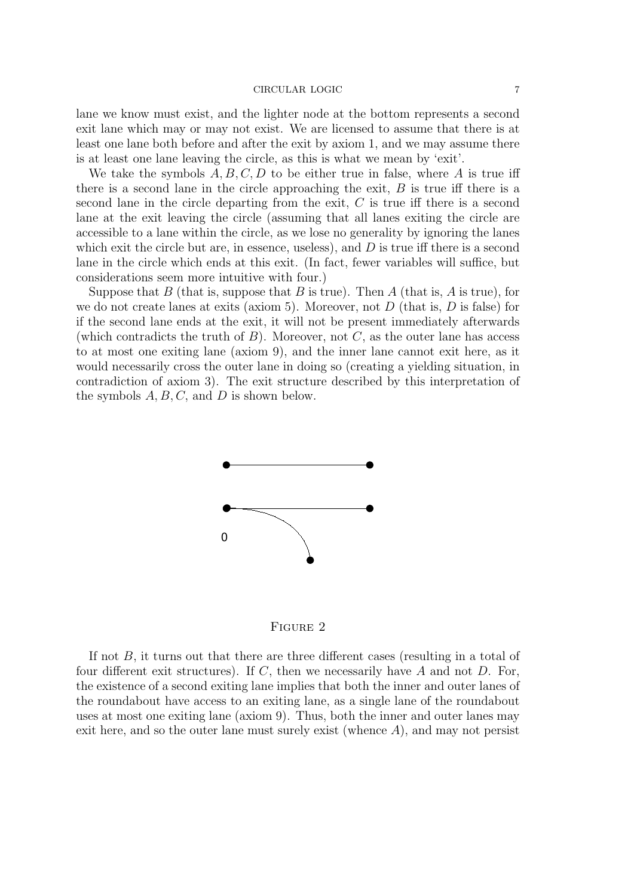lane we know must exist, and the lighter node at the bottom represents a second exit lane which may or may not exist. We are licensed to assume that there is at least one lane both before and after the exit by axiom 1, and we may assume there is at least one lane leaving the circle, as this is what we mean by 'exit'.

We take the symbols  $A, B, C, D$  to be either true in false, where A is true iff there is a second lane in the circle approaching the exit,  $B$  is true iff there is a second lane in the circle departing from the exit, C is true iff there is a second lane at the exit leaving the circle (assuming that all lanes exiting the circle are accessible to a lane within the circle, as we lose no generality by ignoring the lanes which exit the circle but are, in essence, useless), and  $D$  is true iff there is a second lane in the circle which ends at this exit. (In fact, fewer variables will suffice, but considerations seem more intuitive with four.)

Suppose that B (that is, suppose that B is true). Then A (that is, A is true), for we do not create lanes at exits (axiom 5). Moreover, not  $D$  (that is,  $D$  is false) for if the second lane ends at the exit, it will not be present immediately afterwards (which contradicts the truth of  $B$ ). Moreover, not  $C$ , as the outer lane has access to at most one exiting lane (axiom 9), and the inner lane cannot exit here, as it would necessarily cross the outer lane in doing so (creating a yielding situation, in contradiction of axiom 3). The exit structure described by this interpretation of the symbols  $A, B, C$ , and  $D$  is shown below.



Figure 2

If not B, it turns out that there are three different cases (resulting in a total of four different exit structures). If C, then we necessarily have A and not D. For, the existence of a second exiting lane implies that both the inner and outer lanes of the roundabout have access to an exiting lane, as a single lane of the roundabout uses at most one exiting lane (axiom 9). Thus, both the inner and outer lanes may exit here, and so the outer lane must surely exist (whence  $A$ ), and may not persist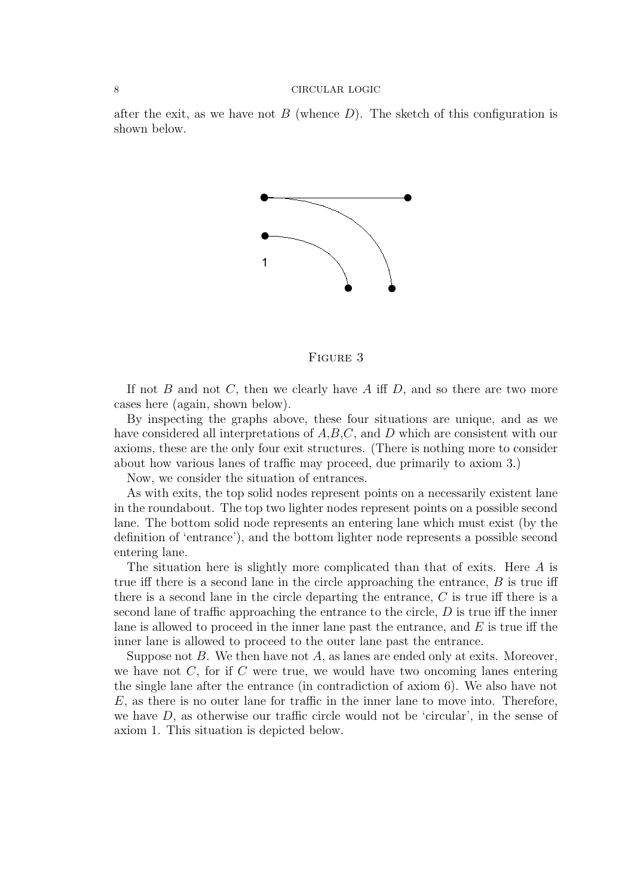after the exit, as we have not  $B$  (whence  $D$ ). The sketch of this configuration is shown below.



Figure 3

If not B and not C, then we clearly have A iff D, and so there are two more cases here (again, shown below).

By inspecting the graphs above, these four situations are unique, and as we have considered all interpretations of  $A, B, C$ , and D which are consistent with our axioms, these are the only four exit structures. (There is nothing more to consider about how various lanes of traffic may proceed, due primarily to axiom 3.)

Now, we consider the situation of entrances.

As with exits, the top solid nodes represent points on a necessarily existent lane in the roundabout. The top two lighter nodes represent points on a possible second lane. The bottom solid node represents an entering lane which must exist (by the definition of 'entrance'), and the bottom lighter node represents a possible second entering lane.

The situation here is slightly more complicated than that of exits. Here A is true iff there is a second lane in the circle approaching the entrance,  $B$  is true iff there is a second lane in the circle departing the entrance, C is true iff there is a second lane of traffic approaching the entrance to the circle,  $D$  is true iff the inner lane is allowed to proceed in the inner lane past the entrance, and  $E$  is true iff the inner lane is allowed to proceed to the outer lane past the entrance.

Suppose not  $B$ . We then have not  $A$ , as lanes are ended only at exits. Moreover, we have not  $C$ , for if  $C$  were true, we would have two oncoming lanes entering the single lane after the entrance (in contradiction of axiom 6). We also have not E, as there is no outer lane for traffic in the inner lane to move into. Therefore, we have  $D$ , as otherwise our traffic circle would not be 'circular', in the sense of axiom 1. This situation is depicted below.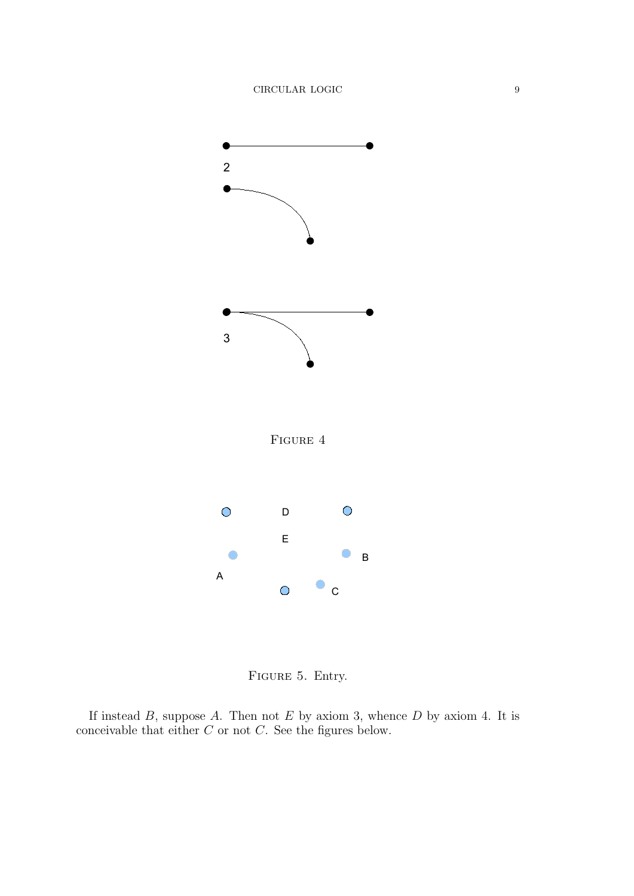

FIGURE 5. Entry.

If instead  $B$ , suppose  $A$ . Then not  $E$  by axiom 3, whence  $D$  by axiom 4. It is conceivable that either  $C$  or not  $C$ . See the figures below.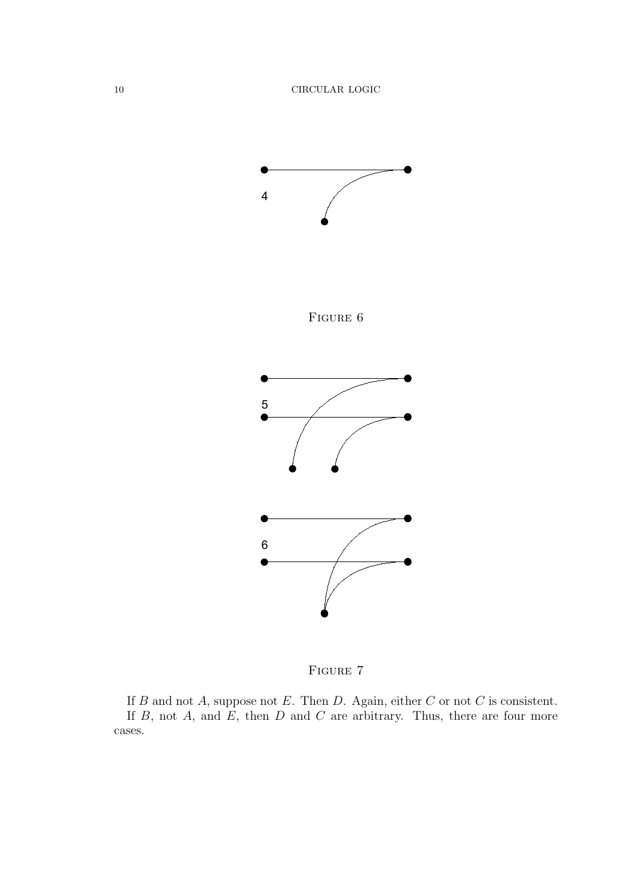

FIGURE 7

If  $B$  and not  $A$ , suppose not  $E$ . Then  $D$ . Again, either  $C$  or not  $C$  is consistent. If  $B$ , not  $A$ , and  $E$ , then  $D$  and  $C$  are arbitrary. Thus, there are four more cases.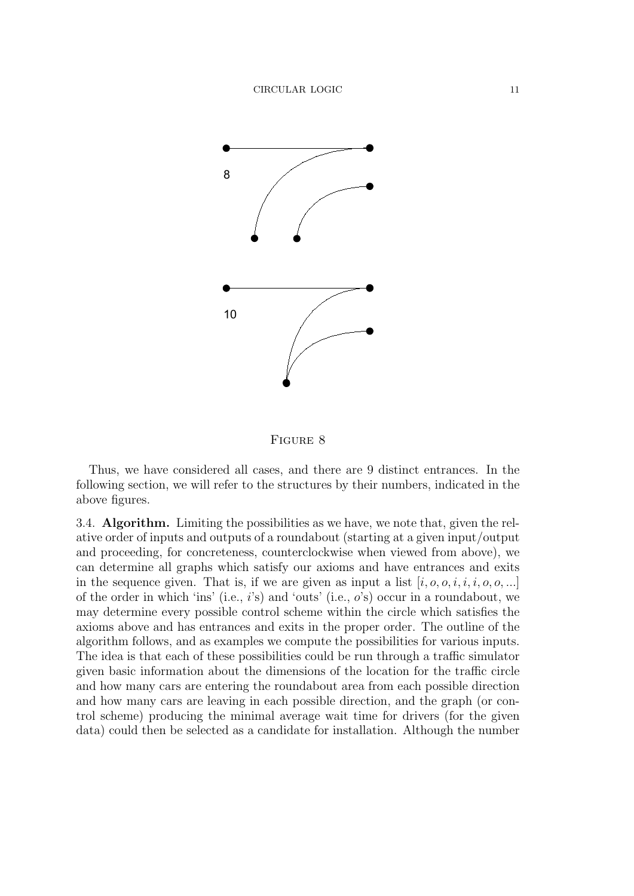

Figure 8

Thus, we have considered all cases, and there are 9 distinct entrances. In the following section, we will refer to the structures by their numbers, indicated in the above figures.

3.4. Algorithm. Limiting the possibilities as we have, we note that, given the relative order of inputs and outputs of a roundabout (starting at a given input/output and proceeding, for concreteness, counterclockwise when viewed from above), we can determine all graphs which satisfy our axioms and have entrances and exits in the sequence given. That is, if we are given as input a list  $[i, o, o, i, i, i, o, o, ...]$ of the order in which 'ins' (i.e.,  $i$ 's) and 'outs' (i.e.,  $o$ 's) occur in a roundabout, we may determine every possible control scheme within the circle which satisfies the axioms above and has entrances and exits in the proper order. The outline of the algorithm follows, and as examples we compute the possibilities for various inputs. The idea is that each of these possibilities could be run through a traffic simulator given basic information about the dimensions of the location for the traffic circle and how many cars are entering the roundabout area from each possible direction and how many cars are leaving in each possible direction, and the graph (or control scheme) producing the minimal average wait time for drivers (for the given data) could then be selected as a candidate for installation. Although the number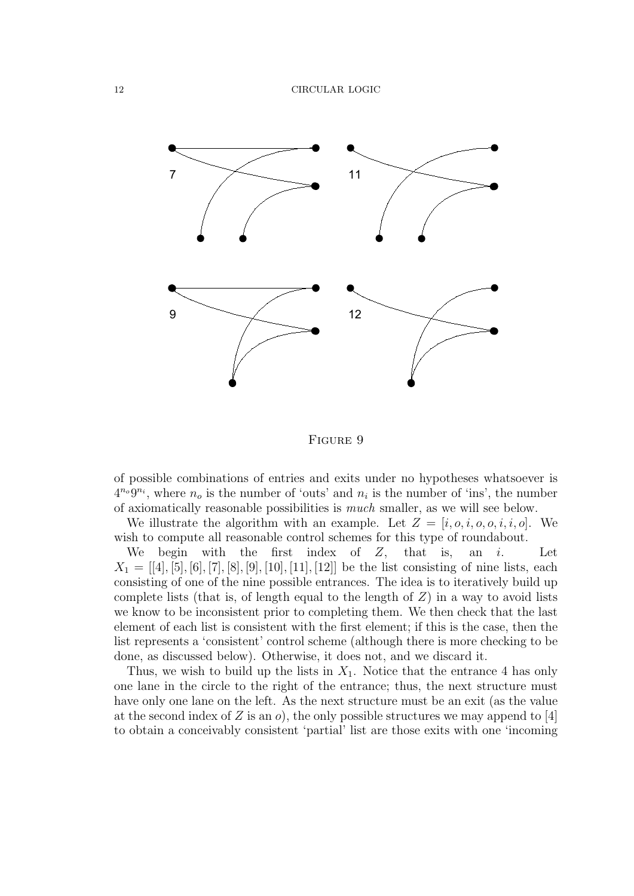

Figure 9

of possible combinations of entries and exits under no hypotheses whatsoever is  $4^{n<sub>o</sub>}9^{n<sub>i</sub>}$ , where  $n<sub>o</sub>$  is the number of 'outs' and  $n<sub>i</sub>$  is the number of 'ins', the number of axiomatically reasonable possibilities is much smaller, as we will see below.

We illustrate the algorithm with an example. Let  $Z = [i, o, i, o, o, i, i, o]$ . We wish to compute all reasonable control schemes for this type of roundabout.

We begin with the first index of  $Z$ , that is, an  $i$ . Let  $X_1 = [[4], [5], [6], [7], [8], [9], [10], [11], [12]]$  be the list consisting of nine lists, each consisting of one of the nine possible entrances. The idea is to iteratively build up complete lists (that is, of length equal to the length of  $Z$ ) in a way to avoid lists we know to be inconsistent prior to completing them. We then check that the last element of each list is consistent with the first element; if this is the case, then the list represents a 'consistent' control scheme (although there is more checking to be done, as discussed below). Otherwise, it does not, and we discard it.

Thus, we wish to build up the lists in  $X_1$ . Notice that the entrance 4 has only one lane in the circle to the right of the entrance; thus, the next structure must have only one lane on the left. As the next structure must be an exit (as the value at the second index of Z is an  $\rho$ , the only possible structures we may append to [4] to obtain a conceivably consistent 'partial' list are those exits with one 'incoming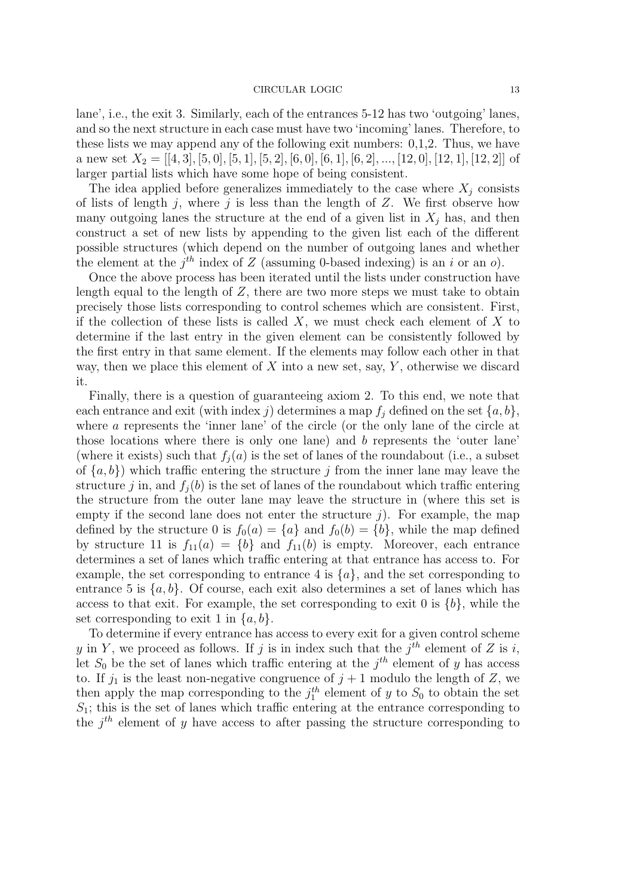lane', i.e., the exit 3. Similarly, each of the entrances 5-12 has two 'outgoing' lanes, and so the next structure in each case must have two 'incoming' lanes. Therefore, to these lists we may append any of the following exit numbers: 0,1,2. Thus, we have a new set  $X_2 = [[4, 3], [5, 0], [5, 1], [5, 2], [6, 0], [6, 1], [6, 2], ..., [12, 0], [12, 1], [12, 2]]$  of larger partial lists which have some hope of being consistent.

The idea applied before generalizes immediately to the case where  $X_i$  consists of lists of length  $j$ , where  $j$  is less than the length of  $Z$ . We first observe how many outgoing lanes the structure at the end of a given list in  $X_i$  has, and then construct a set of new lists by appending to the given list each of the different possible structures (which depend on the number of outgoing lanes and whether the element at the  $j^{th}$  index of Z (assuming 0-based indexing) is an i or an  $o$ ).

Once the above process has been iterated until the lists under construction have length equal to the length of  $Z$ , there are two more steps we must take to obtain precisely those lists corresponding to control schemes which are consistent. First, if the collection of these lists is called  $X$ , we must check each element of  $X$  to determine if the last entry in the given element can be consistently followed by the first entry in that same element. If the elements may follow each other in that way, then we place this element of  $X$  into a new set, say,  $Y$ , otherwise we discard it.

Finally, there is a question of guaranteeing axiom 2. To this end, we note that each entrance and exit (with index j) determines a map  $f_j$  defined on the set  $\{a, b\}$ , where a represents the 'inner lane' of the circle (or the only lane of the circle at those locations where there is only one lane) and b represents the 'outer lane' (where it exists) such that  $f_i(a)$  is the set of lanes of the roundabout (i.e., a subset of  $\{a, b\}$ ) which traffic entering the structure j from the inner lane may leave the structure j in, and  $f_i(b)$  is the set of lanes of the roundabout which traffic entering the structure from the outer lane may leave the structure in (where this set is empty if the second lane does not enter the structure  $j$ ). For example, the map defined by the structure 0 is  $f_0(a) = \{a\}$  and  $f_0(b) = \{b\}$ , while the map defined by structure 11 is  $f_{11}(a) = \{b\}$  and  $f_{11}(b)$  is empty. Moreover, each entrance determines a set of lanes which traffic entering at that entrance has access to. For example, the set corresponding to entrance 4 is  $\{a\}$ , and the set corresponding to entrance 5 is  $\{a, b\}$ . Of course, each exit also determines a set of lanes which has access to that exit. For example, the set corresponding to exit 0 is  $\{b\}$ , while the set corresponding to exit 1 in  $\{a, b\}$ .

To determine if every entrance has access to every exit for a given control scheme y in Y, we proceed as follows. If j is in index such that the  $j<sup>th</sup>$  element of Z is i, let  $S_0$  be the set of lanes which traffic entering at the  $j<sup>th</sup>$  element of y has access to. If  $j_1$  is the least non-negative congruence of  $j + 1$  modulo the length of Z, we then apply the map corresponding to the  $j_1^{th}$  element of y to  $S_0$  to obtain the set  $S_1$ ; this is the set of lanes which traffic entering at the entrance corresponding to the  $j<sup>th</sup>$  element of y have access to after passing the structure corresponding to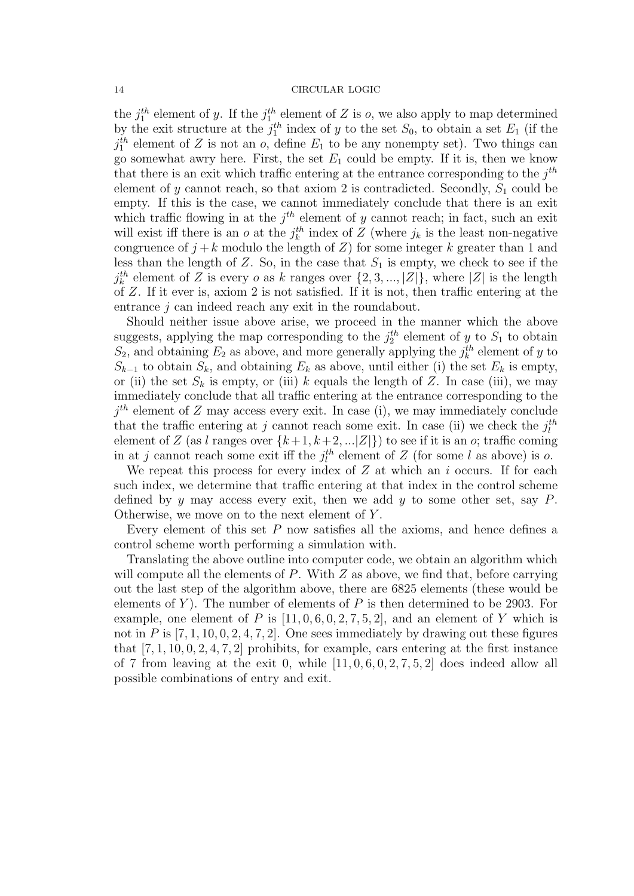the  $j_1^{th}$  element of y. If the  $j_1^{th}$  element of Z is o, we also apply to map determined by the exit structure at the  $j_1^{th}$  index of y to the set  $S_0$ , to obtain a set  $E_1$  (if the  $j_1^{th}$  element of Z is not an  $o$ , define  $E_1$  to be any nonempty set). Two things can go somewhat awry here. First, the set  $E_1$  could be empty. If it is, then we know that there is an exit which traffic entering at the entrance corresponding to the  $j^{th}$ element of y cannot reach, so that axiom 2 is contradicted. Secondly,  $S_1$  could be empty. If this is the case, we cannot immediately conclude that there is an exit which traffic flowing in at the  $j<sup>th</sup>$  element of y cannot reach; in fact, such an exit will exist iff there is an o at the  $j_k^{\text{th}}$  index of Z (where  $j_k$  is the least non-negative congruence of  $j + k$  modulo the length of Z) for some integer k greater than 1 and less than the length of Z. So, in the case that  $S_1$  is empty, we check to see if the  $j_k^{th}$  element of Z is every *o* as *k* ranges over  $\{2, 3, ..., |Z|\}$ , where  $|Z|$  is the length of Z. If it ever is, axiom 2 is not satisfied. If it is not, then traffic entering at the entrance j can indeed reach any exit in the roundabout.

Should neither issue above arise, we proceed in the manner which the above suggests, applying the map corresponding to the  $j_2^{th}$  element of y to  $S_1$  to obtain  $S_2$ , and obtaining  $E_2$  as above, and more generally applying the  $j_k^{th}$  element of y to  $S_{k-1}$  to obtain  $S_k$ , and obtaining  $E_k$  as above, until either (i) the set  $E_k$  is empty, or (ii) the set  $S_k$  is empty, or (iii) k equals the length of Z. In case (iii), we may immediately conclude that all traffic entering at the entrance corresponding to the  $j<sup>th</sup>$  element of Z may access every exit. In case (i), we may immediately conclude that the traffic entering at j cannot reach some exit. In case (ii) we check the  $j_l^{th}$ element of Z (as l ranges over  $\{k+1, k+2, ...\vert Z \vert\}$ ) to see if it is an o; traffic coming in at j cannot reach some exit iff the  $j_l^{th}$  element of Z (for some l as above) is o.

We repeat this process for every index of  $Z$  at which an  $i$  occurs. If for each such index, we determine that traffic entering at that index in the control scheme defined by y may access every exit, then we add y to some other set, say  $P$ . Otherwise, we move on to the next element of  $Y$ .

Every element of this set  $P$  now satisfies all the axioms, and hence defines a control scheme worth performing a simulation with.

Translating the above outline into computer code, we obtain an algorithm which will compute all the elements of  $P$ . With  $Z$  as above, we find that, before carrying out the last step of the algorithm above, there are 6825 elements (these would be elements of  $Y$ ). The number of elements of  $P$  is then determined to be 2903. For example, one element of P is  $[11, 0, 6, 0, 2, 7, 5, 2]$ , and an element of Y which is not in P is  $[7, 1, 10, 0, 2, 4, 7, 2]$ . One sees immediately by drawing out these figures that  $[7, 1, 10, 0, 2, 4, 7, 2]$  prohibits, for example, cars entering at the first instance of 7 from leaving at the exit 0, while  $[11, 0, 6, 0, 2, 7, 5, 2]$  does indeed allow all possible combinations of entry and exit.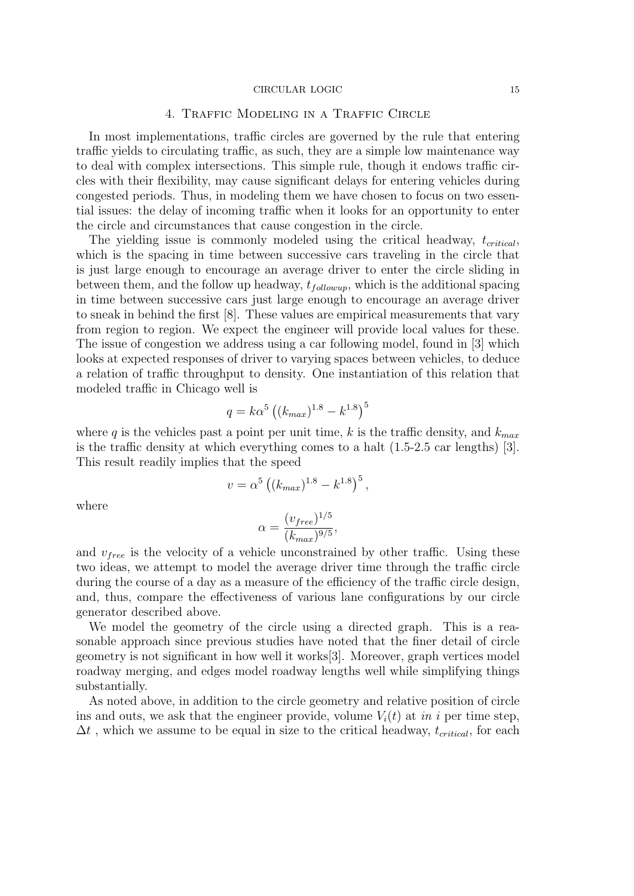## 4. Traffic Modeling in a Traffic Circle

In most implementations, traffic circles are governed by the rule that entering traffic yields to circulating traffic, as such, they are a simple low maintenance way to deal with complex intersections. This simple rule, though it endows traffic circles with their flexibility, may cause significant delays for entering vehicles during congested periods. Thus, in modeling them we have chosen to focus on two essential issues: the delay of incoming traffic when it looks for an opportunity to enter the circle and circumstances that cause congestion in the circle.

The yielding issue is commonly modeled using the critical headway,  $t_{critical}$ , which is the spacing in time between successive cars traveling in the circle that is just large enough to encourage an average driver to enter the circle sliding in between them, and the follow up headway,  $t_{followup}$ , which is the additional spacing in time between successive cars just large enough to encourage an average driver to sneak in behind the first [8]. These values are empirical measurements that vary from region to region. We expect the engineer will provide local values for these. The issue of congestion we address using a car following model, found in [3] which looks at expected responses of driver to varying spaces between vehicles, to deduce a relation of traffic throughput to density. One instantiation of this relation that modeled traffic in Chicago well is

$$
q = k\alpha^5 \left( (k_{max})^{1.8} - k^{1.8} \right)^5
$$

where q is the vehicles past a point per unit time, k is the traffic density, and  $k_{max}$ is the traffic density at which everything comes to a halt (1.5-2.5 car lengths) [3]. This result readily implies that the speed

$$
v = \alpha^5 \left( (k_{max})^{1.8} - k^{1.8} \right)^5,
$$

where

$$
\alpha = \frac{(v_{free})^{1/5}}{(k_{max})^{9/5}},
$$

and  $v_{free}$  is the velocity of a vehicle unconstrained by other traffic. Using these two ideas, we attempt to model the average driver time through the traffic circle during the course of a day as a measure of the efficiency of the traffic circle design, and, thus, compare the effectiveness of various lane configurations by our circle generator described above.

We model the geometry of the circle using a directed graph. This is a reasonable approach since previous studies have noted that the finer detail of circle geometry is not significant in how well it works[3]. Moreover, graph vertices model roadway merging, and edges model roadway lengths well while simplifying things substantially.

As noted above, in addition to the circle geometry and relative position of circle ins and outs, we ask that the engineer provide, volume  $V_i(t)$  at in i per time step,  $\Delta t$ , which we assume to be equal in size to the critical headway,  $t_{critical}$ , for each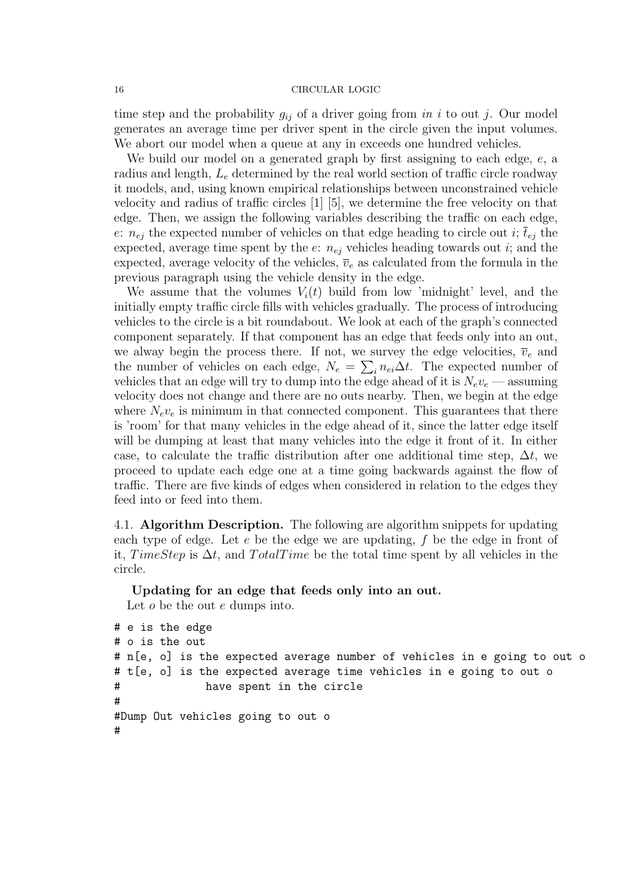time step and the probability  $g_{ij}$  of a driver going from in i to out j. Our model generates an average time per driver spent in the circle given the input volumes. We abort our model when a queue at any in exceeds one hundred vehicles.

We build our model on a generated graph by first assigning to each edge,  $e$ , a radius and length,  $L_e$  determined by the real world section of traffic circle roadway it models, and, using known empirical relationships between unconstrained vehicle velocity and radius of traffic circles [1] [5], we determine the free velocity on that edge. Then, we assign the following variables describing the traffic on each edge, e:  $n_{ei}$  the expected number of vehicles on that edge heading to circle out i;  $\overline{t}_{ei}$  the expected, average time spent by the  $e: n_{ej}$  vehicles heading towards out i; and the expected, average velocity of the vehicles,  $\overline{v}_e$  as calculated from the formula in the previous paragraph using the vehicle density in the edge.

We assume that the volumes  $V_i(t)$  build from low 'midnight' level, and the initially empty traffic circle fills with vehicles gradually. The process of introducing vehicles to the circle is a bit roundabout. We look at each of the graph's connected component separately. If that component has an edge that feeds only into an out, we alway begin the process there. If not, we survey the edge velocities,  $\overline{v}_e$  and the number of vehicles on each edge,  $N_e = \sum_i n_{ei} \Delta t$ . The expected number of vehicles that an edge will try to dump into the edge ahead of it is  $N_e v_e$  — assuming velocity does not change and there are no outs nearby. Then, we begin at the edge where  $N_e v_e$  is minimum in that connected component. This guarantees that there is 'room' for that many vehicles in the edge ahead of it, since the latter edge itself will be dumping at least that many vehicles into the edge it front of it. In either case, to calculate the traffic distribution after one additional time step,  $\Delta t$ , we proceed to update each edge one at a time going backwards against the flow of traffic. There are five kinds of edges when considered in relation to the edges they feed into or feed into them.

4.1. **Algorithm Description.** The following are algorithm snippets for updating each type of edge. Let e be the edge we are updating, f be the edge in front of it, TimeStep is  $\Delta t$ , and TotalTime be the total time spent by all vehicles in the circle.

Updating for an edge that feeds only into an out.

Let *o* be the out *e* dumps into.

```
# e is the edge
# o is the out
# n[e, o] is the expected average number of vehicles in e going to out o
# t[e, o] is the expected average time vehicles in e going to out o
# have spent in the circle
#
#Dump Out vehicles going to out o
#
```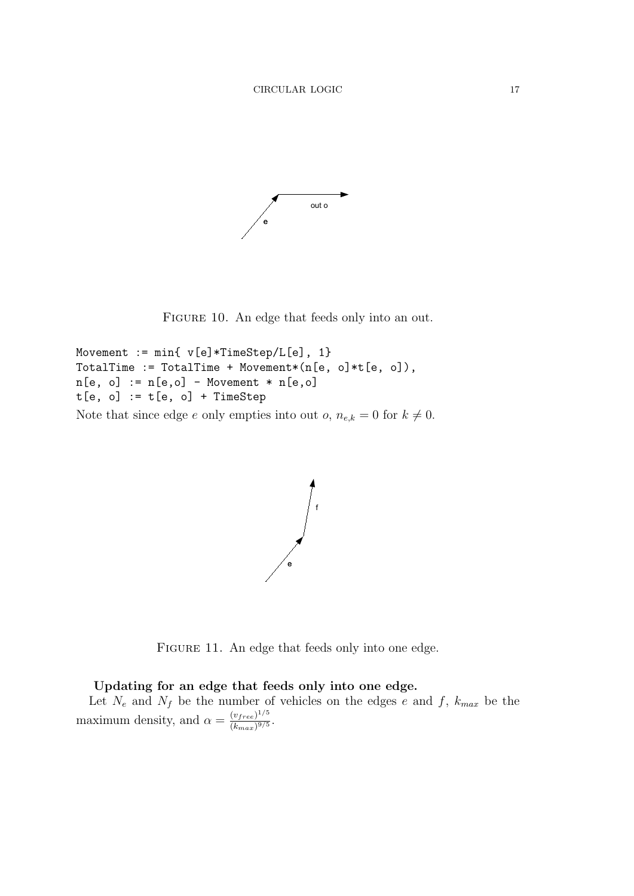

FIGURE 10. An edge that feeds only into an out.

```
Movement := min{ v[e] * TimeStep/L[e], 1}TotalTime := TotalTime + Movement*(n[e, o]*t[e, o]),
n[e, o] := n[e, o] - Movement * n[e, o]t[e, o] := t[e, o] + TimeStepNote that since edge e only empties into out o, n_{e,k} = 0 for k \neq 0.
```


FIGURE 11. An edge that feeds only into one edge.

# Updating for an edge that feeds only into one edge.

Let  $N_e$  and  $N_f$  be the number of vehicles on the edges e and f,  $k_{max}$  be the maximum density, and  $\alpha = \frac{(v_{free})^{1/5}}{(l_{\text{avg}})^{9/5}}$  $\frac{(v_{free})^{2/3}}{(k_{max})^{9/5}}$ .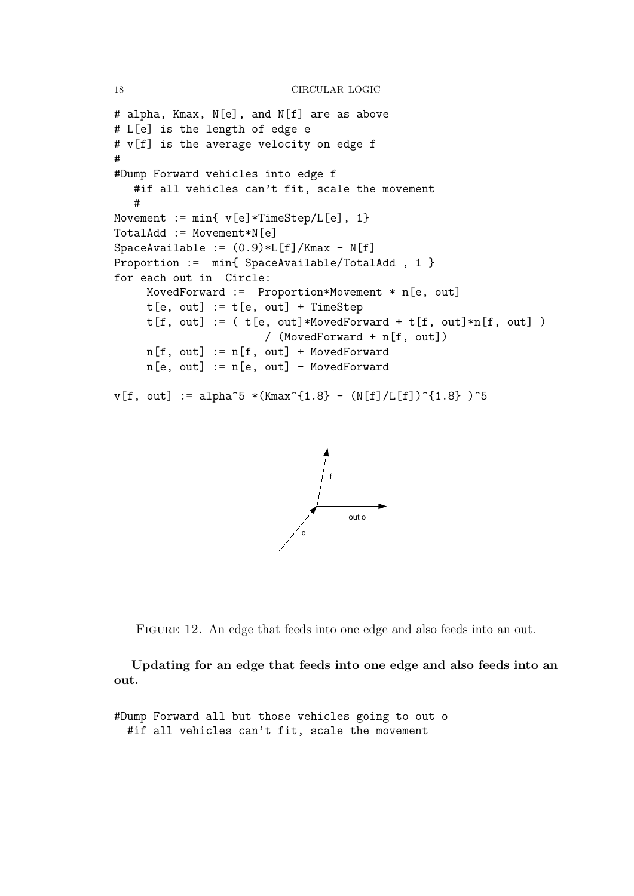```
18 CIRCULAR LOGIC
```

```
# alpha, Kmax, N[e], and N[f] are as above
# L[e] is the length of edge e
# v[f] is the average velocity on edge f
#
#Dump Forward vehicles into edge f
   #if all vehicles can't fit, scale the movement
   #
Movement := min{ v[e]*TimeStep/L[e], 1}TotalAdd := Movement*N[e]
SpaceAvailable := (0.9)*L[f]/Kmax - N[f]Proportion := min{ SpaceAvailable/TotalAdd, 1 }
for each out in Circle:
     MovedForward := Proportion*Movement * n[e, out]
     t[e, out] := t[e, out] + TimeStept[f, out] := (t[e, out]*MovedForward + t[f, out]*n[f, out])/ (MovedForward + n[f, out])
     n[f, out] := n[f, out] + MovedForwardn[e, out] := n[e, out] - MovedForwardv[f, out] := alpha^5 * (Kmax^{(1.8)} - (N[f]/L[f])^{(1.8)} )^5
```


FIGURE 12. An edge that feeds into one edge and also feeds into an out.

Updating for an edge that feeds into one edge and also feeds into an out.

#Dump Forward all but those vehicles going to out o #if all vehicles can't fit, scale the movement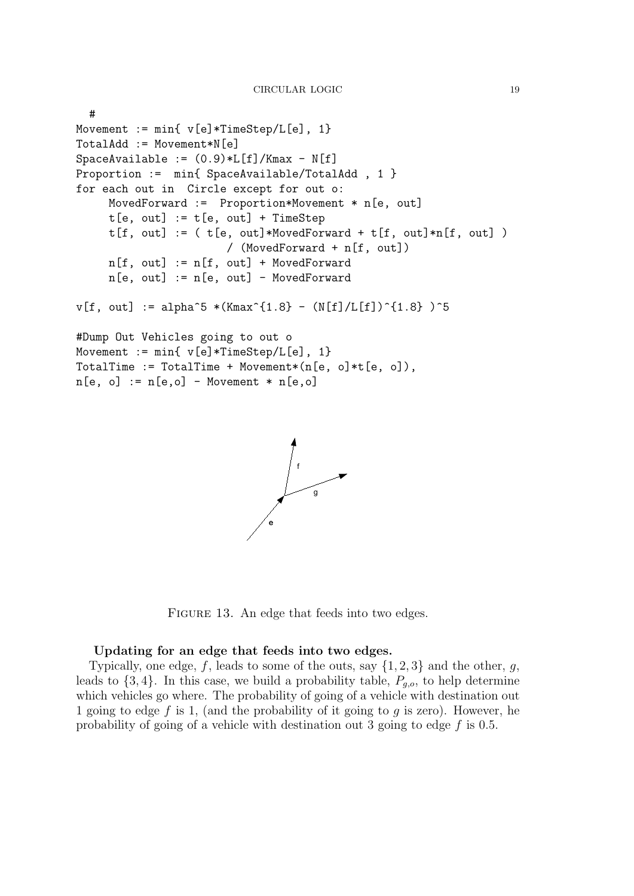```
#
Movement := min{ v[e]}*TimeStep/L[e], 1}
TotalAdd := Movement*N[e]
SpaceAvailable := (0.9)*L[f]/Kmax - N[f]Proportion := min{ SpaceAvailable/TotalAdd, 1 }
for each out in Circle except for out o:
     MovedForward := Proportion*Movement * n[e, out]
     t[e, out] := t[e, out] + TimeStept[f, out] := (t[e, out]*MovedForward + t[f, out]*n[f, out])/ (MovedForward + n[f, out])
     n[f, out] := n[f, out] + MovedForwardn[e, out] := n[e, out] - MovedForwardv[f, out] := alpha^5 * (Kmax^{(1.8)} - (N[f]/L[f])^{(1.8)} )^5#Dump Out Vehicles going to out o
Movement := min{ v[e]}*TimeStep/L[e], 1}
TotalTime := TotalTime + Movement*(n[e, o]*t[e, o]),
n[e, o] := n[e, o] - Movement * n[e, o]
```


FIGURE 13. An edge that feeds into two edges.

## Updating for an edge that feeds into two edges.

Typically, one edge, f, leads to some of the outs, say  $\{1, 2, 3\}$  and the other, g, leads to  $\{3, 4\}$ . In this case, we build a probability table,  $P_{q,o}$ , to help determine which vehicles go where. The probability of going of a vehicle with destination out 1 going to edge f is 1, (and the probability of it going to  $q$  is zero). However, he probability of going of a vehicle with destination out 3 going to edge  $f$  is 0.5.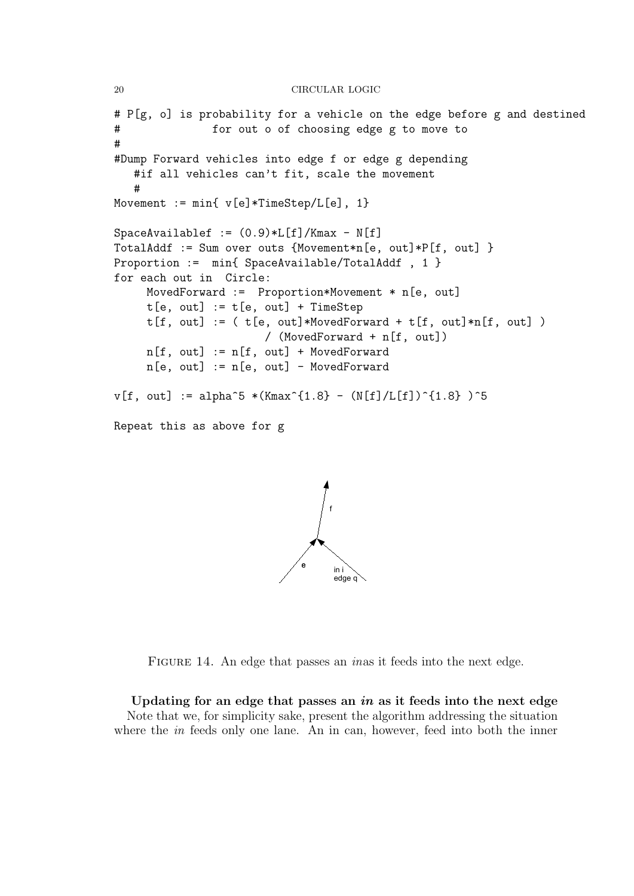```
# P[g, o] is probability for a vehicle on the edge before g and destined
# for out o of choosing edge g to move to
#
#Dump Forward vehicles into edge f or edge g depending
   #if all vehicles can't fit, scale the movement
   #
Movement := min{ v[e]*TimeStep/L[e], 1}
SpaceAvailablef := (0.9)*L[f]/Kmax - N[f]TotalAddf := Sum over outs {Movement*n[e, out]*P[f, out] }
Proportion := min{ SpaceAvailable/TotalAddf , 1 }
for each out in Circle:
    MovedForward := Proportion*Movement * n[e, out]
    t[e, out] := t[e, out] + TimeStept[f, out] := (t[e, out]*MovedForward + t[f, out]*n[f, out])/ (MovedForward + n[f, out])
    n[f, out] := n[f, out] + MovedForwardn[e, out] := n[e, out] - MovedForwardv[f, out] := alpha^5 * (Kmax^{(1.8)} - (N[f]/L[f])^{(1.8)} )^5Repeat this as above for g
```


FIGURE 14. An edge that passes an *inas* it feeds into the next edge.

Updating for an edge that passes an  $in$  as it feeds into the next edge Note that we, for simplicity sake, present the algorithm addressing the situation where the *in* feeds only one lane. An in can, however, feed into both the inner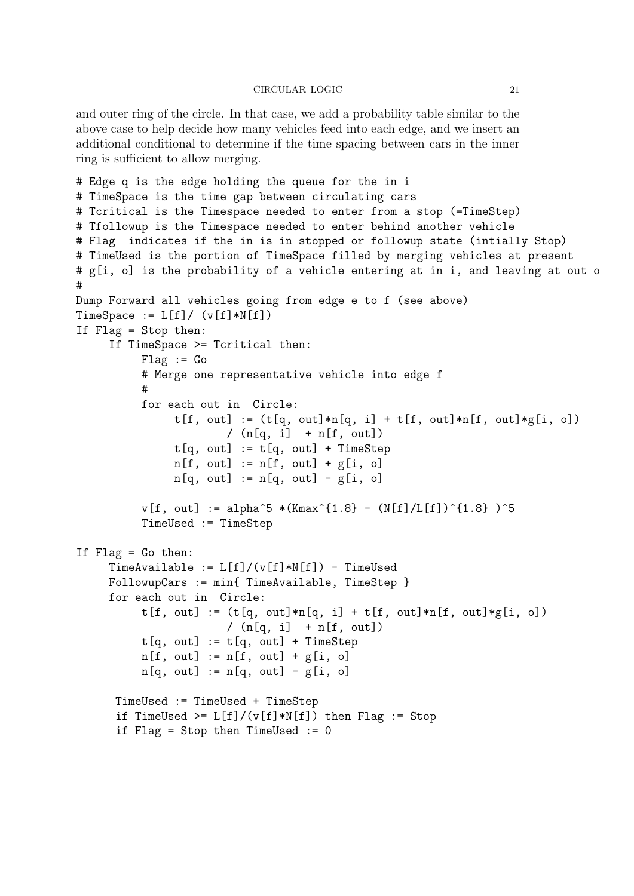and outer ring of the circle. In that case, we add a probability table similar to the above case to help decide how many vehicles feed into each edge, and we insert an additional conditional to determine if the time spacing between cars in the inner ring is sufficient to allow merging.

```
# Edge q is the edge holding the queue for the in i
# TimeSpace is the time gap between circulating cars
# Tcritical is the Timespace needed to enter from a stop (=TimeStep)
# Tfollowup is the Timespace needed to enter behind another vehicle
# Flag indicates if the in is in stopped or followup state (intially Stop)
# TimeUsed is the portion of TimeSpace filled by merging vehicles at present
# g[i, o] is the probability of a vehicle entering at in i, and leaving at out o
#
Dump Forward all vehicles going from edge e to f (see above)
TimeSpace := L[f]/(v[f]*N[f])If Flag = Stop then:
     If TimeSpace >= Tcritical then:
          Flag := Go# Merge one representative vehicle into edge f
          #
          for each out in Circle:
               t[f, out] := (t[q, out]*n[q, i] + t[f, out]*n[f, out]*g[i, o])/ (n[q, i] + n[f, out])t[q, out] := t[q, out] + TimeStepn[f, out] := n[f, out] + g[i, o]n[q, out] := n[q, out] - g[i, o]v[f, out] := alpha^5 * (Kmax^{(1.8)} - (N[f]/L[f])^{(1.8)} )^5TimeUsed := TimeStep
If Flag = Go then:
     TimeAvailable := L[f]/(v[f]*N[f]) - TimeUsed
     FollowupCars := min{ TimeAvailable, TimeStep }
     for each out in Circle:
          t[f, out] := (t[q, out]*n[q, i] + t[f, out]*n[f, out]*g[i, o])/ (n[q, i] + n[f, out])t[q, out] := t[q, out] + TimeStepn[f, out] := n[f, out] + g[i, o]n[q, out] := n[q, out] - g[i, o]TimeUsed := TimeUsed + TimeStep
      if TimeUsed >= L[f]/(v[f]*N[f]) then Flag := Stop
      if Flag = Stop then TimeUsed := 0
```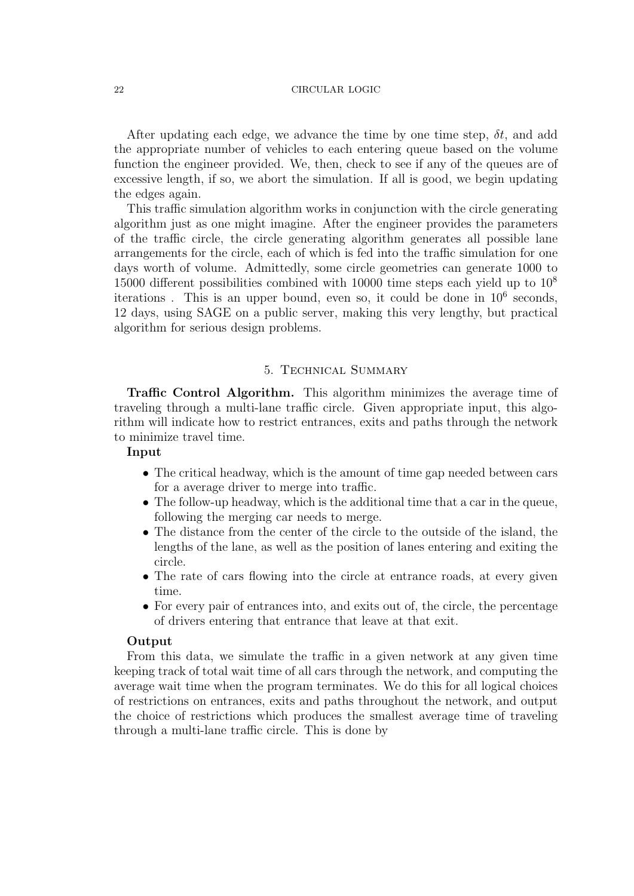After updating each edge, we advance the time by one time step,  $\delta t$ , and add the appropriate number of vehicles to each entering queue based on the volume function the engineer provided. We, then, check to see if any of the queues are of excessive length, if so, we abort the simulation. If all is good, we begin updating the edges again.

This traffic simulation algorithm works in conjunction with the circle generating algorithm just as one might imagine. After the engineer provides the parameters of the traffic circle, the circle generating algorithm generates all possible lane arrangements for the circle, each of which is fed into the traffic simulation for one days worth of volume. Admittedly, some circle geometries can generate 1000 to 15000 different possibilities combined with 10000 time steps each yield up to  $10^8$ iterations. This is an upper bound, even so, it could be done in  $10^6$  seconds, 12 days, using SAGE on a public server, making this very lengthy, but practical algorithm for serious design problems.

# 5. Technical Summary

Traffic Control Algorithm. This algorithm minimizes the average time of traveling through a multi-lane traffic circle. Given appropriate input, this algorithm will indicate how to restrict entrances, exits and paths through the network to minimize travel time.

## Input

- The critical headway, which is the amount of time gap needed between cars for a average driver to merge into traffic.
- The follow-up headway, which is the additional time that a car in the queue, following the merging car needs to merge.
- The distance from the center of the circle to the outside of the island, the lengths of the lane, as well as the position of lanes entering and exiting the circle.
- The rate of cars flowing into the circle at entrance roads, at every given time.
- For every pair of entrances into, and exits out of, the circle, the percentage of drivers entering that entrance that leave at that exit.

## Output

From this data, we simulate the traffic in a given network at any given time keeping track of total wait time of all cars through the network, and computing the average wait time when the program terminates. We do this for all logical choices of restrictions on entrances, exits and paths throughout the network, and output the choice of restrictions which produces the smallest average time of traveling through a multi-lane traffic circle. This is done by